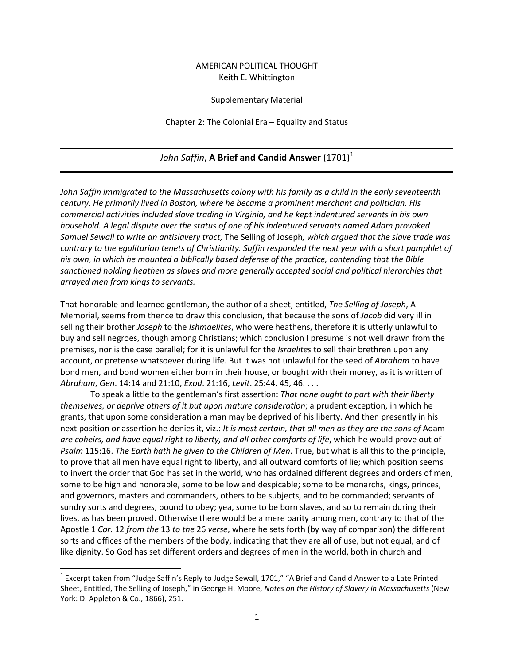## AMERICAN POLITICAL THOUGHT Keith E. Whittington

## Supplementary Material

Chapter 2: The Colonial Era – Equality and Status

## *John Saffin*, **A Brief and Candid Answer** (1701) [1](#page-0-0)

*John Saffin immigrated to the Massachusetts colony with his family as a child in the early seventeenth century. He primarily lived in Boston, where he became a prominent merchant and politician. His commercial activities included slave trading in Virginia, and he kept indentured servants in his own household. A legal dispute over the status of one of his indentured servants named Adam provoked Samuel Sewall to write an antislavery tract,* The Selling of Joseph*, which argued that the slave trade was contrary to the egalitarian tenets of Christianity. Saffin responded the next year with a short pamphlet of his own, in which he mounted a biblically based defense of the practice, contending that the Bible sanctioned holding heathen as slaves and more generally accepted social and political hierarchies that arrayed men from kings to servants.*

That honorable and learned gentleman, the author of a sheet, entitled, *The Selling of Joseph*, A Memorial, seems from thence to draw this conclusion, that because the sons of *Jacob* did very ill in selling their brother *Joseph* to the *Ishmaelites*, who were heathens, therefore it is utterly unlawful to buy and sell negroes, though among Christians; which conclusion I presume is not well drawn from the premises, nor is the case parallel; for it is unlawful for the *Israelites* to sell their brethren upon any account, or pretense whatsoever during life. But it was not unlawful for the seed of *Abraham* to have bond men, and bond women either born in their house, or bought with their money, as it is written of *Abraham*, *Gen*. 14:14 and 21:10, *Exod*. 21:16, *Levit*. 25:44, 45, 46. . . .

To speak a little to the gentleman's first assertion: *That none ought to part with their liberty themselves, or deprive others of it but upon mature consideration*; a prudent exception, in which he grants, that upon some consideration a man may be deprived of his liberty. And then presently in his next position or assertion he denies it, viz.: *It is most certain, that all men as they are the sons of* Adam *are coheirs, and have equal right to liberty, and all other comforts of life*, which he would prove out of *Psalm* 115:16. *The Earth hath he given to the Children of Men*. True, but what is all this to the principle, to prove that all men have equal right to liberty, and all outward comforts of lie; which position seems to invert the order that God has set in the world, who has ordained different degrees and orders of men, some to be high and honorable, some to be low and despicable; some to be monarchs, kings, princes, and governors, masters and commanders, others to be subjects, and to be commanded; servants of sundry sorts and degrees, bound to obey; yea, some to be born slaves, and so to remain during their lives, as has been proved. Otherwise there would be a mere parity among men, contrary to that of the Apostle 1 *Cor*. 12 *from the* 13 *to the* 26 *verse*, where he sets forth (by way of comparison) the different sorts and offices of the members of the body, indicating that they are all of use, but not equal, and of like dignity. So God has set different orders and degrees of men in the world, both in church and

<span id="page-0-0"></span> $1$  Excerpt taken from "Judge Saffin's Reply to Judge Sewall, 1701," "A Brief and Candid Answer to a Late Printed Sheet, Entitled, The Selling of Joseph," in George H. Moore, *Notes on the History of Slavery in Massachusetts* (New York: D. Appleton & Co., 1866), 251.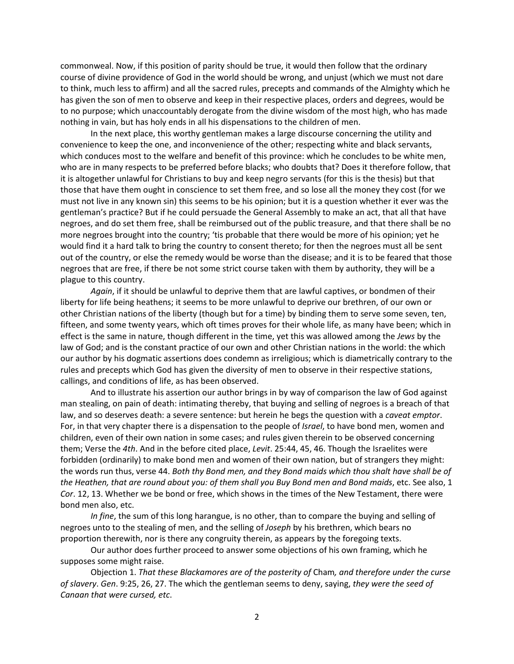commonweal. Now, if this position of parity should be true, it would then follow that the ordinary course of divine providence of God in the world should be wrong, and unjust (which we must not dare to think, much less to affirm) and all the sacred rules, precepts and commands of the Almighty which he has given the son of men to observe and keep in their respective places, orders and degrees, would be to no purpose; which unaccountably derogate from the divine wisdom of the most high, who has made nothing in vain, but has holy ends in all his dispensations to the children of men.

In the next place, this worthy gentleman makes a large discourse concerning the utility and convenience to keep the one, and inconvenience of the other; respecting white and black servants, which conduces most to the welfare and benefit of this province: which he concludes to be white men, who are in many respects to be preferred before blacks; who doubts that? Does it therefore follow, that it is altogether unlawful for Christians to buy and keep negro servants (for this is the thesis) but that those that have them ought in conscience to set them free, and so lose all the money they cost (for we must not live in any known sin) this seems to be his opinion; but it is a question whether it ever was the gentleman's practice? But if he could persuade the General Assembly to make an act, that all that have negroes, and do set them free, shall be reimbursed out of the public treasure, and that there shall be no more negroes brought into the country; 'tis probable that there would be more of his opinion; yet he would find it a hard talk to bring the country to consent thereto; for then the negroes must all be sent out of the country, or else the remedy would be worse than the disease; and it is to be feared that those negroes that are free, if there be not some strict course taken with them by authority, they will be a plague to this country.

*Again*, if it should be unlawful to deprive them that are lawful captives, or bondmen of their liberty for life being heathens; it seems to be more unlawful to deprive our brethren, of our own or other Christian nations of the liberty (though but for a time) by binding them to serve some seven, ten, fifteen, and some twenty years, which oft times proves for their whole life, as many have been; which in effect is the same in nature, though different in the time, yet this was allowed among the *Jews* by the law of God; and is the constant practice of our own and other Christian nations in the world: the which our author by his dogmatic assertions does condemn as irreligious; which is diametrically contrary to the rules and precepts which God has given the diversity of men to observe in their respective stations, callings, and conditions of life, as has been observed.

And to illustrate his assertion our author brings in by way of comparison the law of God against man stealing, on pain of death: intimating thereby, that buying and selling of negroes is a breach of that law, and so deserves death: a severe sentence: but herein he begs the question with a *caveat emptor*. For, in that very chapter there is a dispensation to the people of *Israel*, to have bond men, women and children, even of their own nation in some cases; and rules given therein to be observed concerning them; Verse the *4th*. And in the before cited place, *Levit*. 25:44, 45, 46. Though the Israelites were forbidden (ordinarily) to make bond men and women of their own nation, but of strangers they might: the words run thus, verse 44. *Both thy Bond men, and they Bond maids which thou shalt have shall be of the Heathen, that are round about you: of them shall you Buy Bond men and Bond maids*, etc. See also, 1 *Cor*. 12, 13. Whether we be bond or free, which shows in the times of the New Testament, there were bond men also, etc.

*In fine*, the sum of this long harangue, is no other, than to compare the buying and selling of negroes unto to the stealing of men, and the selling of *Joseph* by his brethren, which bears no proportion therewith, nor is there any congruity therein, as appears by the foregoing texts.

Our author does further proceed to answer some objections of his own framing, which he supposes some might raise.

Objection 1. *That these Blackamores are of the posterity of* Cham*, and therefore under the curse of slavery*. *Gen*. 9:25, 26, 27. The which the gentleman seems to deny, saying, *they were the seed of Canaan that were cursed, etc*.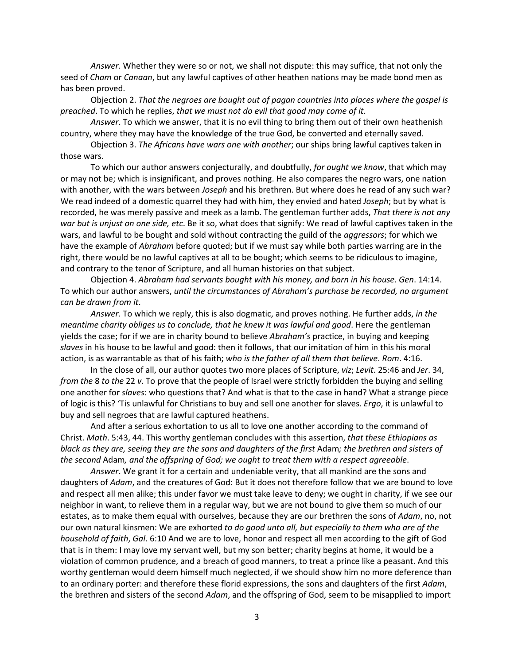*Answer*. Whether they were so or not, we shall not dispute: this may suffice, that not only the seed of *Cham* or *Canaan*, but any lawful captives of other heathen nations may be made bond men as has been proved.

Objection 2. *That the negroes are bought out of pagan countries into places where the gospel is preached*. To which he replies, *that we must not do evil that good may come of it*.

*Answer*. To which we answer, that it is no evil thing to bring them out of their own heathenish country, where they may have the knowledge of the true God, be converted and eternally saved.

Objection 3. *The Africans have wars one with another*; our ships bring lawful captives taken in those wars.

To which our author answers conjecturally, and doubtfully, *for ought we know*, that which may or may not be; which is insignificant, and proves nothing. He also compares the negro wars, one nation with another, with the wars between *Joseph* and his brethren. But where does he read of any such war? We read indeed of a domestic quarrel they had with him, they envied and hated *Joseph*; but by what is recorded, he was merely passive and meek as a lamb. The gentleman further adds, *That there is not any war but is unjust on one side, etc*. Be it so, what does that signify: We read of lawful captives taken in the wars, and lawful to be bought and sold without contracting the guild of the *aggressors*; for which we have the example of *Abraham* before quoted; but if we must say while both parties warring are in the right, there would be no lawful captives at all to be bought; which seems to be ridiculous to imagine, and contrary to the tenor of Scripture, and all human histories on that subject.

Objection 4. *Abraham had servants bought with his money, and born in his house*. *Gen*. 14:14. To which our author answers, *until the circumstances of Abraham's purchase be recorded, no argument can be drawn from it*.

*Answer*. To which we reply, this is also dogmatic, and proves nothing. He further adds, *in the meantime charity obliges us to conclude, that he knew it was lawful and good*. Here the gentleman yields the case; for if we are in charity bound to believe *Abraham's* practice, in buying and keeping *slaves* in his house to be lawful and good: then it follows, that our imitation of him in this his moral action, is as warrantable as that of his faith; *who is the father of all them that believe*. *Rom*. 4:16.

In the close of all, our author quotes two more places of Scripture, *viz*; *Levit*. 25:46 and *Jer*. 34, *from the* 8 *to the* 22 *v*. To prove that the people of Israel were strictly forbidden the buying and selling one another for *slaves*: who questions that? And what is that to the case in hand? What a strange piece of logic is this? 'Tis unlawful for Christians to buy and sell one another for slaves. *Ergo*, it is unlawful to buy and sell negroes that are lawful captured heathens.

And after a serious exhortation to us all to love one another according to the command of Christ. *Math*. 5:43, 44. This worthy gentleman concludes with this assertion, *that these Ethiopians as black as they are, seeing they are the sons and daughters of the first* Adam*; the brethren and sisters of the second* Adam*, and the offspring of God; we ought to treat them with a respect agreeable*.

*Answer*. We grant it for a certain and undeniable verity, that all mankind are the sons and daughters of *Adam*, and the creatures of God: But it does not therefore follow that we are bound to love and respect all men alike; this under favor we must take leave to deny; we ought in charity, if we see our neighbor in want, to relieve them in a regular way, but we are not bound to give them so much of our estates, as to make them equal with ourselves, because they are our brethren the sons of *Adam*, no, not our own natural kinsmen: We are exhorted *to do good unto all, but especially to them who are of the household of faith*, *Gal*. 6:10 And we are to love, honor and respect all men according to the gift of God that is in them: I may love my servant well, but my son better; charity begins at home, it would be a violation of common prudence, and a breach of good manners, to treat a prince like a peasant. And this worthy gentleman would deem himself much neglected, if we should show him no more deference than to an ordinary porter: and therefore these florid expressions, the sons and daughters of the first *Adam*, the brethren and sisters of the second *Adam*, and the offspring of God, seem to be misapplied to import